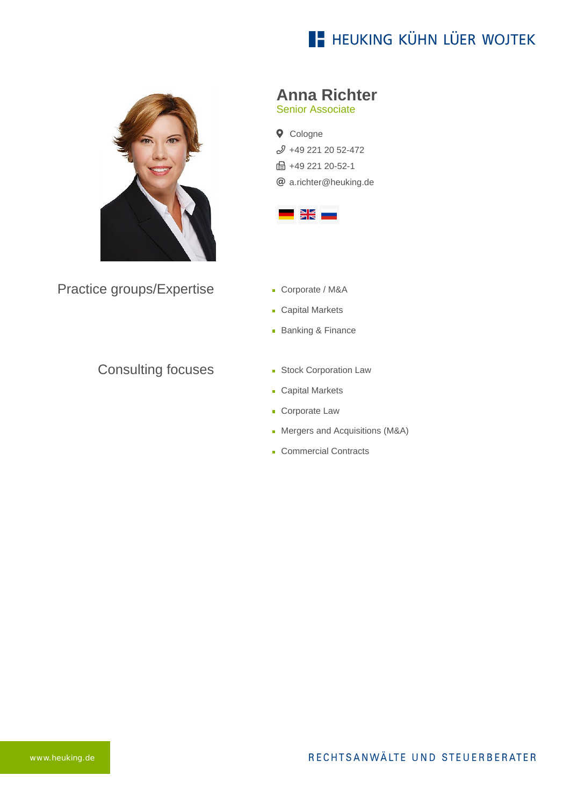# **E- HEUKING KÜHN LÜER WOJTEK**



Practice groups/Expertise

#### Consulting focuses

### **Anna Richter**

Senior Associate

**Q** Cologne [+49 221 20 52-472](tel:+492212052472) **品+49 221 20-52-1** [a.richter@heuking.de](mailto:a.richter@heuking.de?subject=Contact%20via%20website%20heuking.de)



- Corporate / M&A
- Capital Markets
- **Banking & Finance**
- **Stock Corporation Law**
- **Capital Markets**
- **Corporate Law**
- Mergers and Acquisitions (M&A)
- Commercial Contracts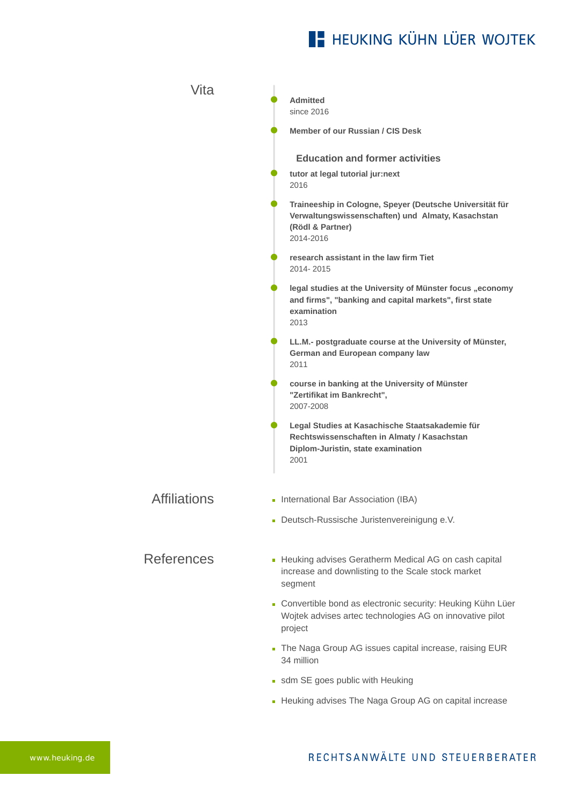# **E- HEUKING KÜHN LÜER WOJTEK**

| <b>Vita</b>         |                                                                                                                                                |
|---------------------|------------------------------------------------------------------------------------------------------------------------------------------------|
|                     | <b>Admitted</b><br>since 2016                                                                                                                  |
|                     | Member of our Russian / CIS Desk                                                                                                               |
|                     | <b>Education and former activities</b>                                                                                                         |
|                     | tutor at legal tutorial jur:next<br>2016                                                                                                       |
|                     | Traineeship in Cologne, Speyer (Deutsche Universität für<br>Verwaltungswissenschaften) und Almaty, Kasachstan<br>(Rödl & Partner)<br>2014-2016 |
|                     | research assistant in the law firm Tiet<br>2014-2015                                                                                           |
|                     | legal studies at the University of Münster focus "economy<br>and firms", "banking and capital markets", first state<br>examination<br>2013     |
|                     | LL.M.- postgraduate course at the University of Münster,<br>German and European company law<br>2011                                            |
|                     | course in banking at the University of Münster<br>"Zertifikat im Bankrecht",<br>2007-2008                                                      |
|                     | Legal Studies at Kasachische Staatsakademie für<br>Rechtswissenschaften in Almaty / Kasachstan<br>Diplom-Juristin, state examination<br>2001   |
| <b>Affiliations</b> | International Bar Association (IBA)                                                                                                            |
|                     | - Deutsch-Russische Juristenvereinigung e.V.                                                                                                   |
| <b>References</b>   | Heuking advises Geratherm Medical AG on cash capital<br>increase and downlisting to the Scale stock market<br>segment                          |
|                     | - Convertible bond as electronic security: Heuking Kühn Lüer<br>Wojtek advises artec technologies AG on innovative pilot<br>project            |
|                     | The Naga Group AG issues capital increase, raising EUR<br>34 million                                                                           |
|                     | • sdm SE goes public with Heuking                                                                                                              |
|                     | • Heuking advises The Naga Group AG on capital increase                                                                                        |